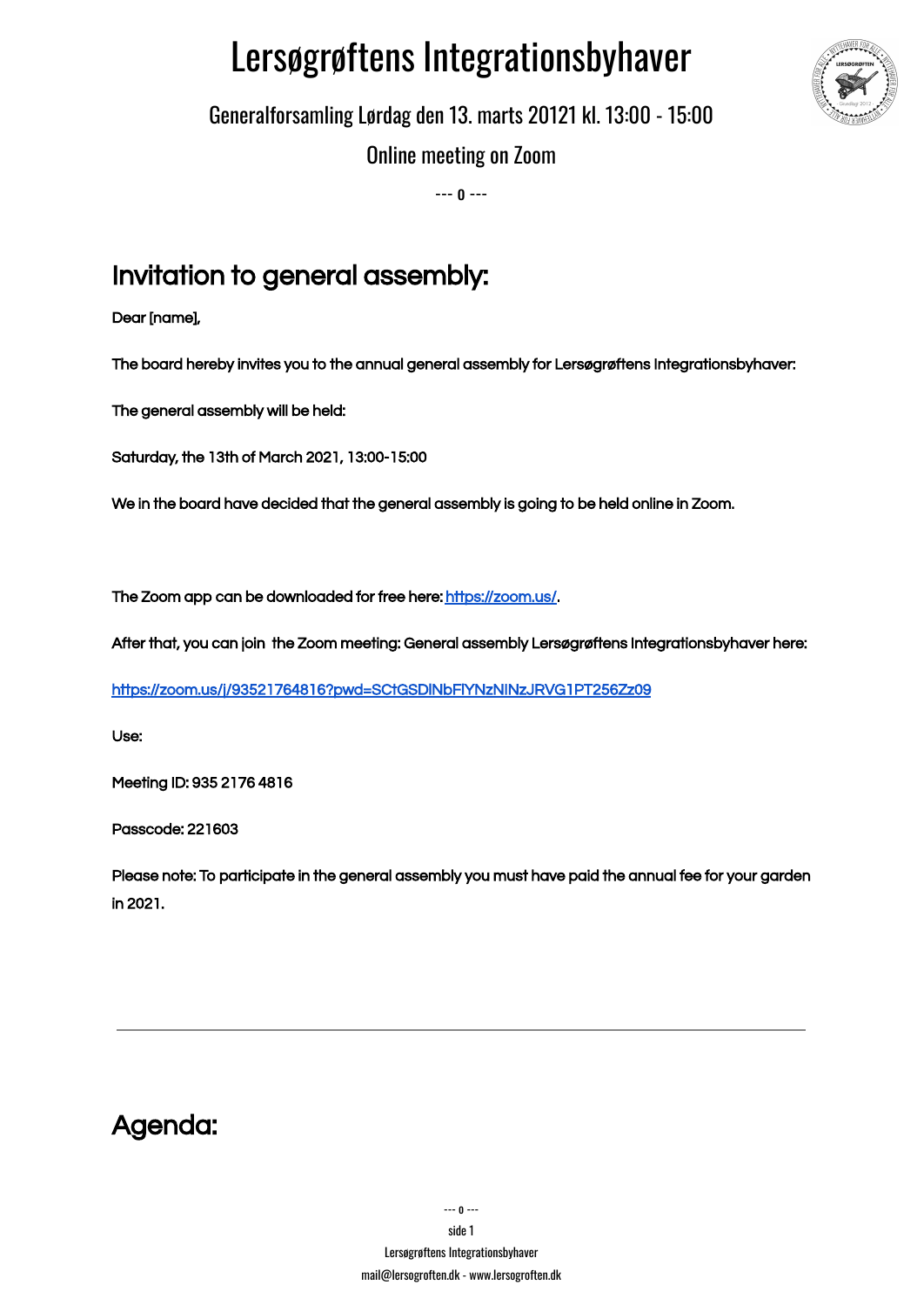# Lersøgrøftens Integrationsbyhaver



Generalforsamling Lørdag den 13. marts 20121 kl. 13:00 - 15:00

Online meeting on Zoom

--- o ---

## Invitation to general assembly:

Dear [name],

The board hereby invites you to the annual general assembly for Lersøgrøftens Integrationsbyhaver:

The general assembly will be held:

Saturday, the 13th of March 2021, 13:00-15:00

We in the board have decided that the general assembly is going to be held online in Zoom.

The Zoom app can be downloaded for free here: <https://zoom.us/>.

After that, you can join the Zoom meeting: General assembly Lersøgrøftens Integrationsbyhaver here:

<https://zoom.us/j/93521764816?pwd=SCtGSDlNbFlYNzNINzJRVG1PT256Zz09>

Use:

Meeting ID: 935 2176 4816

Passcode: 221603

Please note: To participate in the general assembly you must have paid the annual fee for your garden in 2021.

Agenda: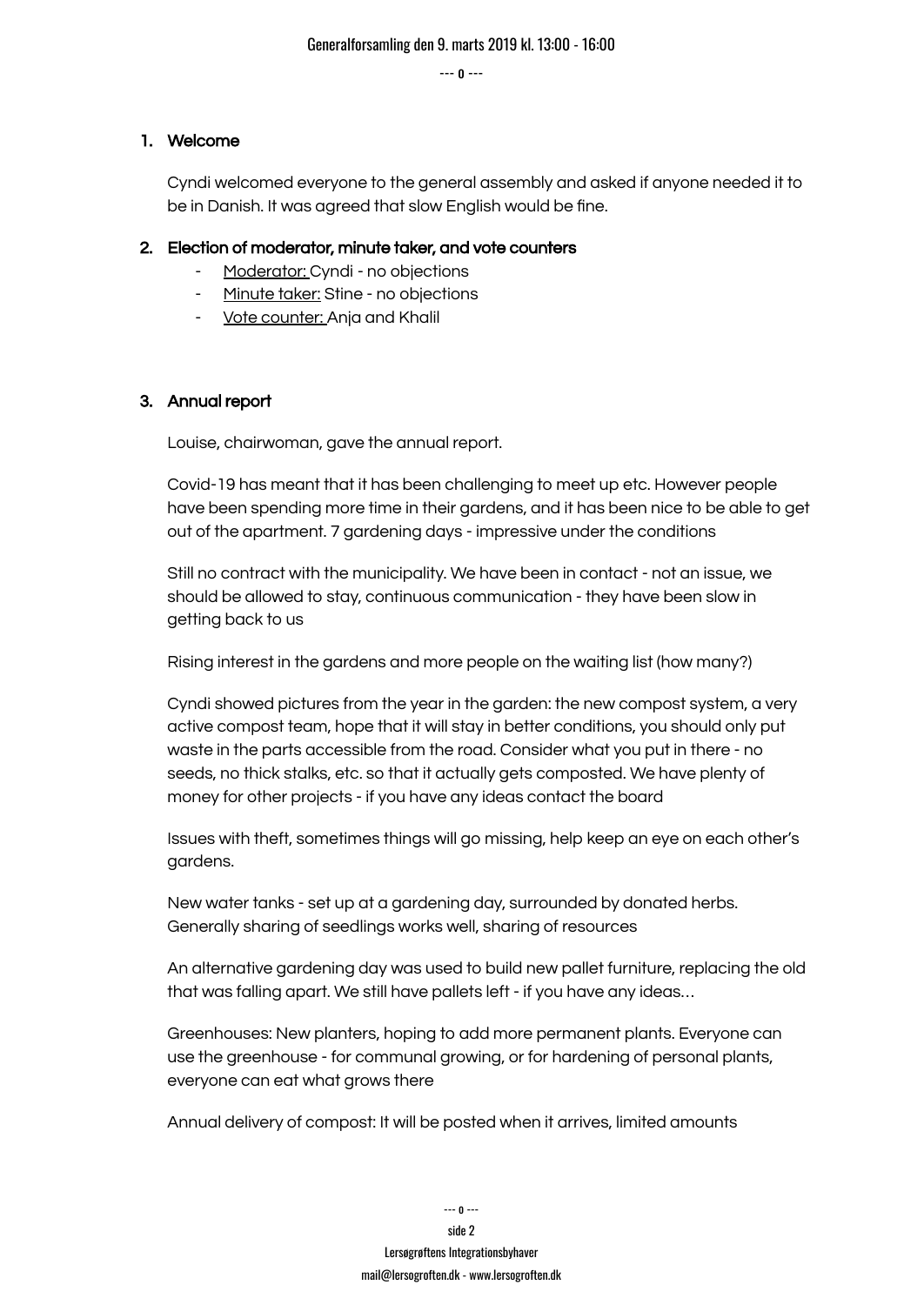#### 1. Welcome

Cyndi welcomed everyone to the general assembly and asked if anyone needed it to be in Danish. It was agreed that slow English would be fine.

#### 2. Election of moderator, minute taker, and vote counters

- Moderator: Cyndi no objections
- Minute taker: Stine no objections
- Vote counter: Anja and Khalil

#### 3. Annual report

Louise, chairwoman, gave the annual report.

Covid-19 has meant that it has been challenging to meet up etc. However people have been spending more time in their gardens, and it has been nice to be able to get out of the apartment. 7 gardening days - impressive under the conditions

Still no contract with the municipality. We have been in contact - not an issue, we should be allowed to stay, continuous communication - they have been slow in getting back to us

Rising interest in the gardens and more people on the waiting list (how many?)

Cyndi showed pictures from the year in the garden: the new compost system, a very active compost team, hope that it will stay in better conditions, you should only put waste in the parts accessible from the road. Consider what you put in there - no seeds, no thick stalks, etc. so that it actually gets composted. We have plenty of money for other projects - if you have any ideas contact the board

Issues with theft, sometimes things will go missing, help keep an eye on each other's gardens.

New water tanks - set up at a gardening day, surrounded by donated herbs. Generally sharing of seedlings works well, sharing of resources

An alternative gardening day was used to build new pallet furniture, replacing the old that was falling apart. We still have pallets left - if you have any ideas…

Greenhouses: New planters, hoping to add more permanent plants. Everyone can use the greenhouse - for communal growing, or for hardening of personal plants, everyone can eat what grows there

Annual delivery of compost: It will be posted when it arrives, limited amounts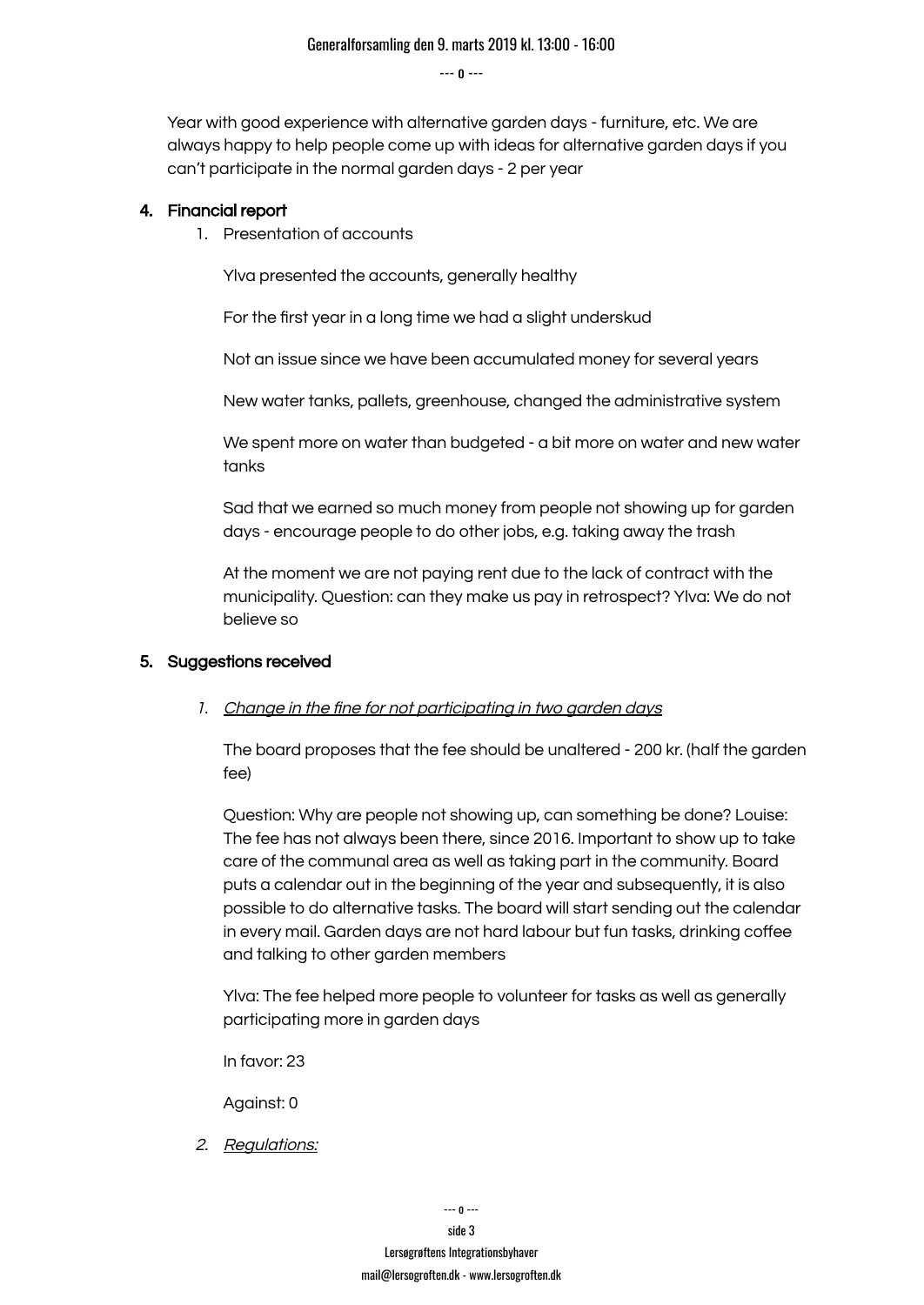Year with good experience with alternative garden days - furniture, etc. We are always happy to help people come up with ideas for alternative garden days if you can't participate in the normal garden days - 2 per year

#### 4. Financial report

1. Presentation of accounts

Ylva presented the accounts, generally healthy

For the first year in a long time we had a slight underskud

Not an issue since we have been accumulated money for several years

New water tanks, pallets, greenhouse, changed the administrative system

We spent more on water than budgeted - a bit more on water and new water tanks

Sad that we earned so much money from people not showing up for garden days - encourage people to do other jobs, e.g. taking away the trash

At the moment we are not paying rent due to the lack of contract with the municipality. Question: can they make us pay in retrospect? Ylva: We do not believe so

#### 5. Suggestions received

#### 1. Change in the fine for not participating in two garden days

The board proposes that the fee should be unaltered - 200 kr. (half the garden fee)

Question: Why are people not showing up, can something be done? Louise: The fee has not always been there, since 2016. Important to show up to take care of the communal area as well as taking part in the community. Board puts a calendar out in the beginning of the year and subsequently, it is also possible to do alternative tasks. The board will start sending out the calendar in every mail. Garden days are not hard labour but fun tasks, drinking coffee and talking to other garden members

Ylva: The fee helped more people to volunteer for tasks as well as generally participating more in garden days

In favor: 23

Against: 0

2. Regulations: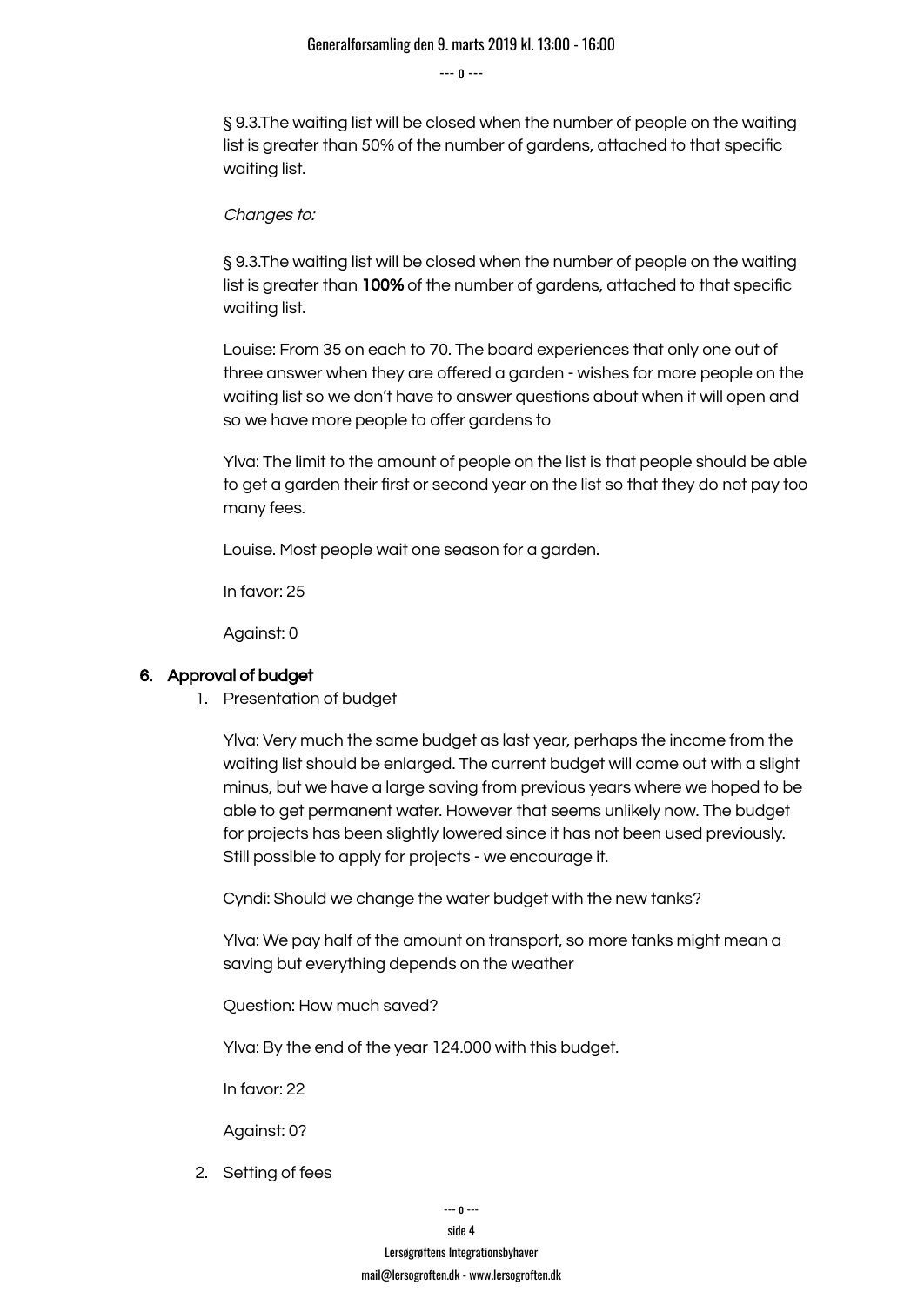§ 9.3.The waiting list will be closed when the number of people on the waiting list is greater than 50% of the number of gardens, attached to that specific waiting list.

Changes to:

§ 9.3.The waiting list will be closed when the number of people on the waiting list is greater than 100% of the number of gardens, attached to that specific waiting list.

Louise: From 35 on each to 70. The board experiences that only one out of three answer when they are offered a garden - wishes for more people on the waiting list so we don't have to answer questions about when it will open and so we have more people to offer gardens to

Ylva: The limit to the amount of people on the list is that people should be able to get a garden their first or second year on the list so that they do not pay too many fees.

Louise. Most people wait one season for a garden.

In favor: 25

Against: 0

#### 6. Approval of budget

1. Presentation of budget

Ylva: Very much the same budget as last year, perhaps the income from the waiting list should be enlarged. The current budget will come out with a slight minus, but we have a large saving from previous years where we hoped to be able to get permanent water. However that seems unlikely now. The budget for projects has been slightly lowered since it has not been used previously. Still possible to apply for projects - we encourage it.

Cyndi: Should we change the water budget with the new tanks?

Ylva: We pay half of the amount on transport, so more tanks might mean a saving but everything depends on the weather

Question: How much saved?

Ylva: By the end of the year 124.000 with this budget.

In favor: 22

Against: 0?

2. Setting of fees

side 4

Lersøgrøftens Integrationsbyhaver [mail@lersogroften.dk](mailto:mail@baldersplads.dk) - [www.lersogroften.dk](http://www.lersogroften.dk)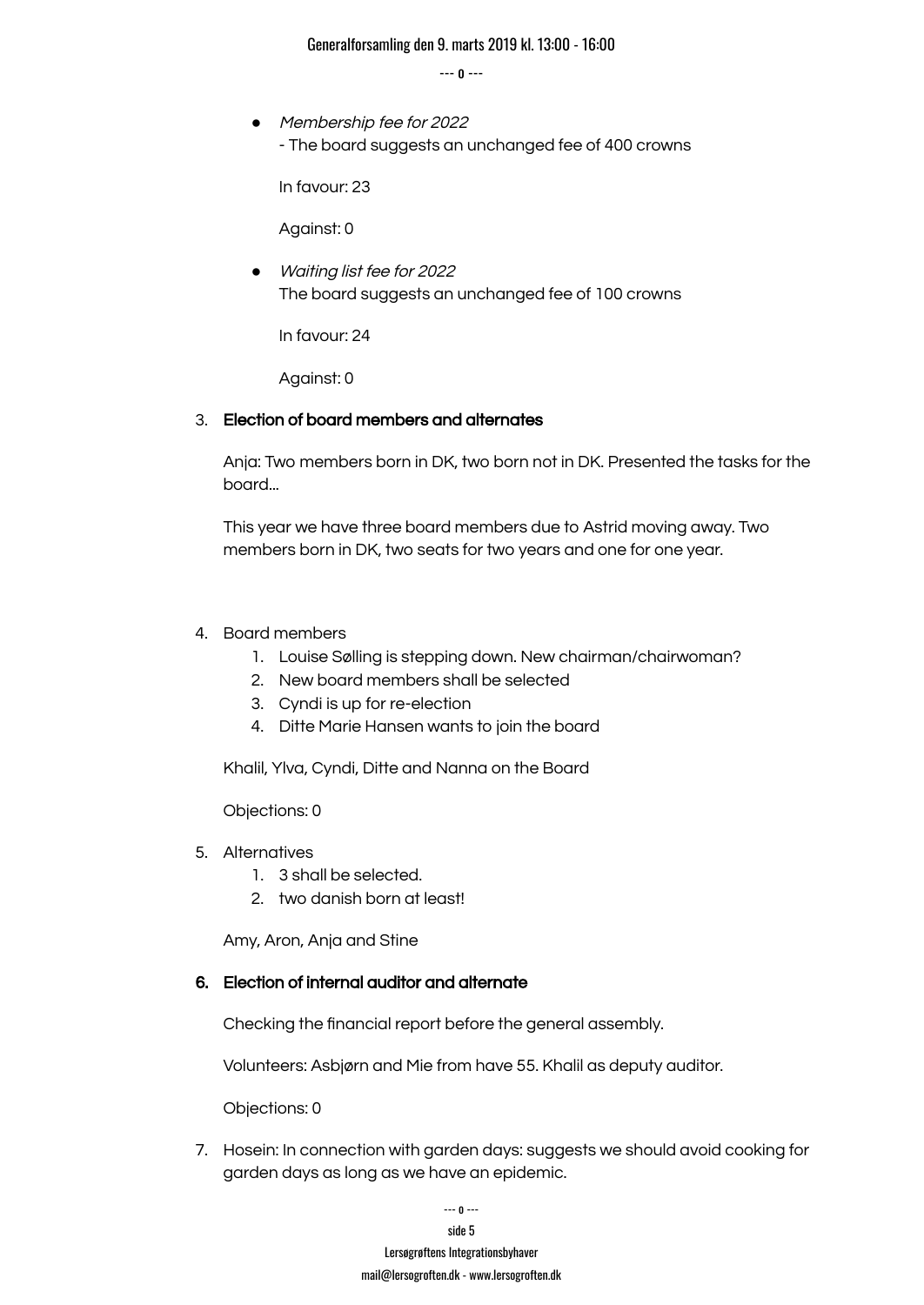#### Generalforsamling den 9. marts 2019 kl. 13:00 - 16:00

--- o ---

● Membership fee for 2022 - The board suggests an unchanged fee of 400 crowns

In favour: 23

Against: 0

● Waiting list fee for <sup>2022</sup> The board suggests an unchanged fee of 100 crowns

In favour: 24

Against: 0

#### 3. Election of board members and alternates

Anja: Two members born in DK, two born not in DK. Presented the tasks for the board...

This year we have three board members due to Astrid moving away. Two members born in DK, two seats for two years and one for one year.

#### 4. Board members

- 1. Louise Sølling is stepping down. New chairman/chairwoman?
- 2. New board members shall be selected
- 3. Cyndi is up for re-election
- 4. Ditte Marie Hansen wants to join the board

Khalil, Ylva, Cyndi, Ditte and Nanna on the Board

#### Objections: 0

- 5. Alternatives
	- 1. 3 shall be selected.
	- 2. two danish born at least!

Amy, Aron, Anja and Stine

#### 6. Election of internal auditor and alternate

Checking the financial report before the general assembly.

Volunteers: Asbjørn and Mie from have 55. Khalil as deputy auditor.

Objections: 0

7. Hosein: In connection with garden days: suggests we should avoid cooking for garden days as long as we have an epidemic.

> --- o -- side 5 Lersøgrøftens Integrationsbyhaver [mail@lersogroften.dk](mailto:mail@baldersplads.dk) - [www.lersogroften.dk](http://www.lersogroften.dk)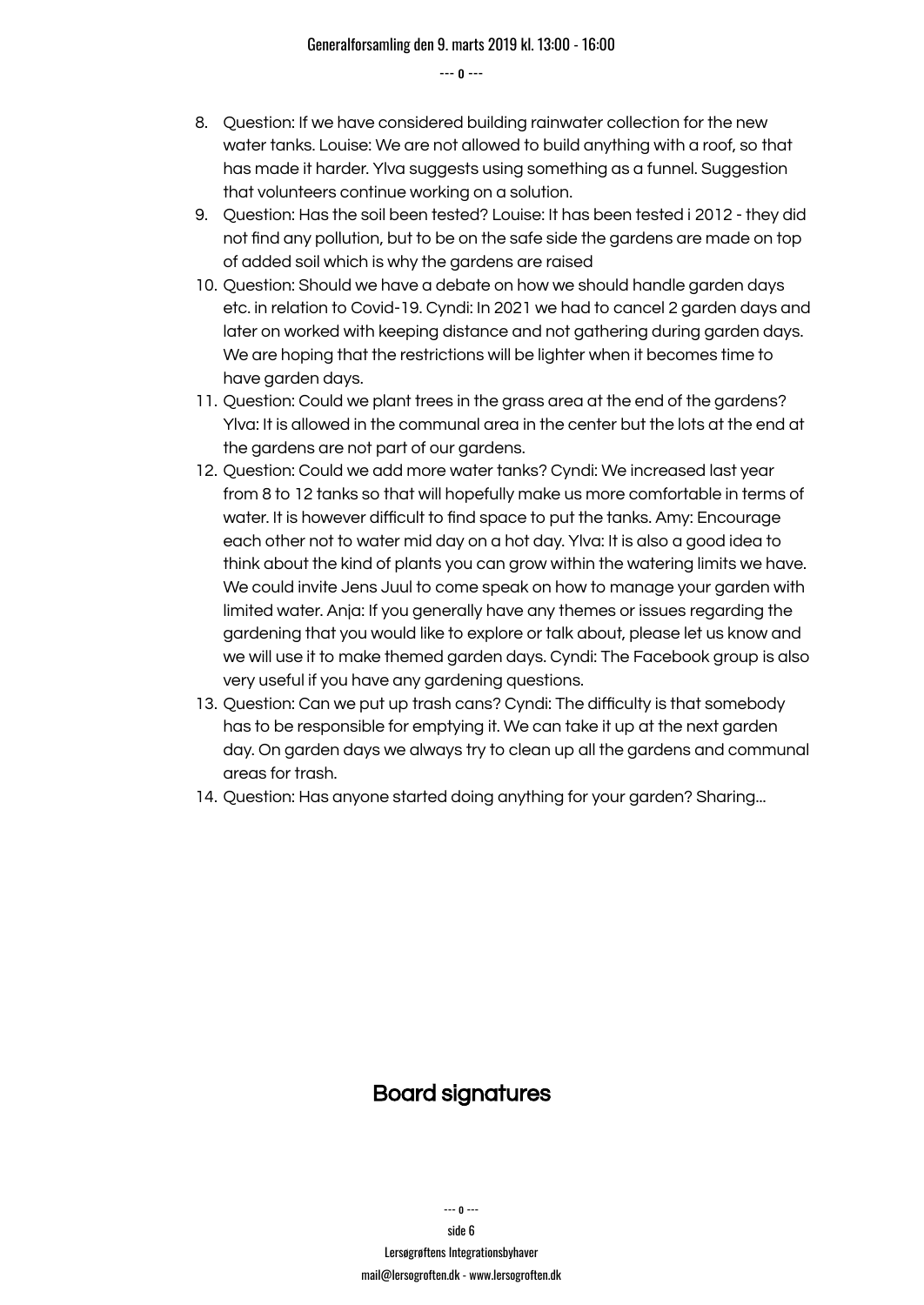- 8. Question: If we have considered building rainwater collection for the new water tanks. Louise: We are not allowed to build anything with a roof, so that has made it harder. Ylva suggests using something as a funnel. Suggestion that volunteers continue working on a solution.
- 9. Question: Has the soil been tested? Louise: It has been tested i 2012 they did not find any pollution, but to be on the safe side the gardens are made on top of added soil which is why the gardens are raised
- 10. Question: Should we have a debate on how we should handle garden days etc. in relation to Covid-19. Cyndi: In 2021 we had to cancel 2 garden days and later on worked with keeping distance and not gathering during garden days. We are hoping that the restrictions will be lighter when it becomes time to have garden days.
- 11. Question: Could we plant trees in the grass area at the end of the gardens? Ylva: It is allowed in the communal area in the center but the lots at the end at the gardens are not part of our gardens.
- 12. Question: Could we add more water tanks? Cyndi: We increased last year from 8 to 12 tanks so that will hopefully make us more comfortable in terms of water. It is however difficult to find space to put the tanks. Amy: Encourage each other not to water mid day on a hot day. Ylva: It is also a good idea to think about the kind of plants you can grow within the watering limits we have. We could invite Jens Juul to come speak on how to manage your garden with limited water. Anja: If you generally have any themes or issues regarding the gardening that you would like to explore or talk about, please let us know and we will use it to make themed garden days. Cyndi: The Facebook group is also very useful if you have any gardening questions.
- 13. Question: Can we put up trash cans? Cyndi: The difficulty is that somebody has to be responsible for emptying it. We can take it up at the next garden day. On garden days we always try to clean up all the gardens and communal areas for trash.
- 14. Question: Has anyone started doing anything for your garden? Sharing...

### Board signatures